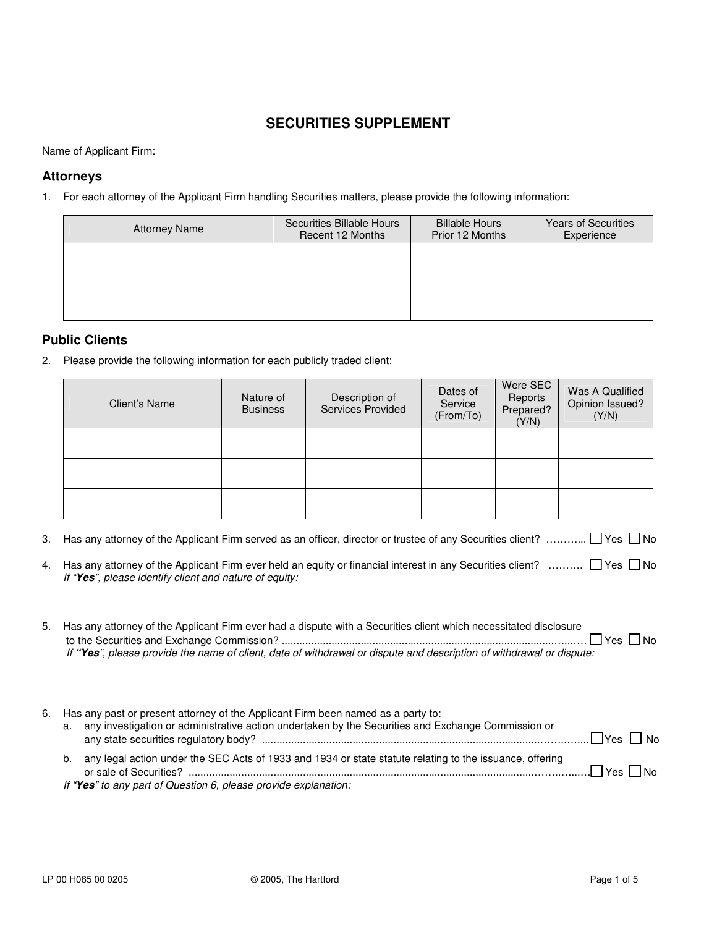# **SECURITIES SUPPLEMENT**

Name of Applicant Firm: \_\_\_\_\_\_\_\_\_\_\_\_\_\_\_\_\_\_\_\_\_\_\_\_\_\_\_\_\_\_\_\_\_\_\_\_\_\_\_\_\_\_\_\_\_\_\_\_\_\_\_\_\_\_\_\_\_\_\_\_\_\_\_\_\_\_\_\_\_\_\_\_\_\_\_\_\_\_\_\_\_\_\_\_\_

#### **Attorneys**

1. For each attorney of the Applicant Firm handling Securities matters, please provide the following information:

| <b>Attorney Name</b> | Securities Billable Hours<br>Recent 12 Months | <b>Billable Hours</b><br>Prior 12 Months | <b>Years of Securities</b><br>Experience |
|----------------------|-----------------------------------------------|------------------------------------------|------------------------------------------|
|                      |                                               |                                          |                                          |
|                      |                                               |                                          |                                          |
|                      |                                               |                                          |                                          |

#### **Public Clients**

2. Please provide the following information for each publicly traded client:

| Client's Name | Nature of<br><b>Business</b> | Description of<br>Services Provided | Dates of<br>Service<br>(From/To) | Were SEC<br>Reports<br>Prepared?<br>(Y/N) | Was A Qualified<br>Opinion Issued?<br>(Y/N) |
|---------------|------------------------------|-------------------------------------|----------------------------------|-------------------------------------------|---------------------------------------------|
|               |                              |                                     |                                  |                                           |                                             |
|               |                              |                                     |                                  |                                           |                                             |
|               |                              |                                     |                                  |                                           |                                             |

- 3. Has any attorney of the Applicant Firm served as an officer, director or trustee of any Securities client? …………  $\Box$  Yes  $\Box$  No
- 4. Has any attorney of the Applicant Firm ever held an equity or financial interest in any Securities client? ……….  $\Box$  Yes  $\Box$  No *If "Yes", please identify client and nature of equity:*

| 5. Has any attorney of the Applicant Firm ever had a dispute with a Securities client which necessitated disclosure  |
|----------------------------------------------------------------------------------------------------------------------|
|                                                                                                                      |
| If "Yes", please provide the name of client, date of withdrawal or dispute and description of withdrawal or dispute: |
|                                                                                                                      |

| 6. | a. | Has any past or present attorney of the Applicant Firm been named as a party to:<br>any investigation or administrative action undertaken by the Securities and Exchange Commission or | .∐Yes ∐ No           |
|----|----|----------------------------------------------------------------------------------------------------------------------------------------------------------------------------------------|----------------------|
|    | b. | any legal action under the SEC Acts of 1933 and 1934 or state statute relating to the issuance, offering<br>If "Yes" to any part of Question 6, please provide explanation:            | $\Box$ Yes $\Box$ No |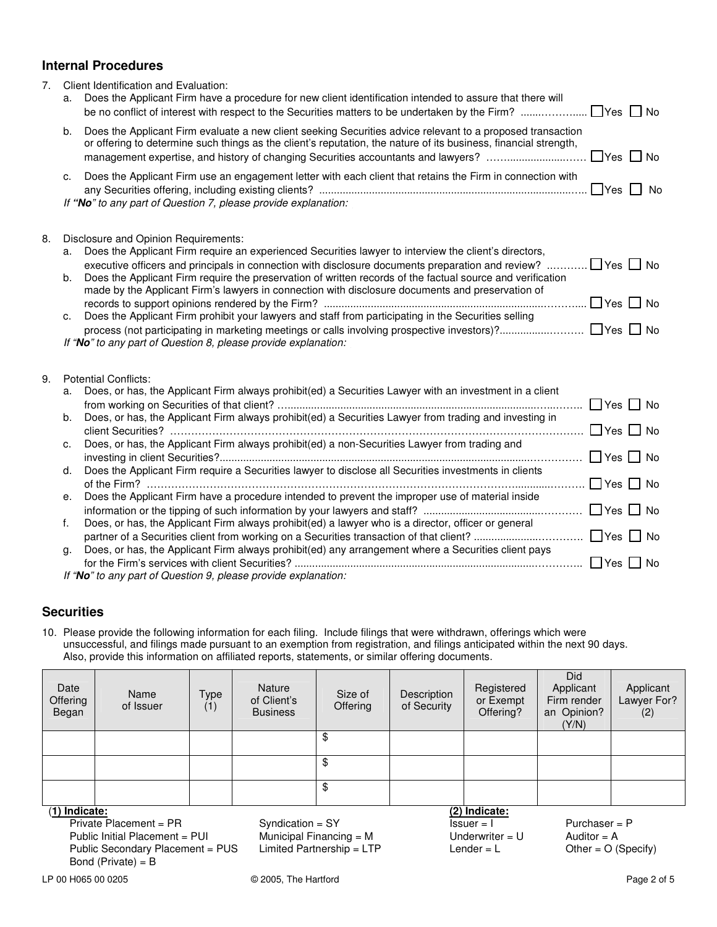## **Internal Procedures**

| 7. | a.             | Client Identification and Evaluation:<br>Does the Applicant Firm have a procedure for new client identification intended to assure that there will<br>$\Box$ Yes $\Box$ No                                                                                                                                                                                                                                                                                                                                                                                                                                                                                                                     |
|----|----------------|------------------------------------------------------------------------------------------------------------------------------------------------------------------------------------------------------------------------------------------------------------------------------------------------------------------------------------------------------------------------------------------------------------------------------------------------------------------------------------------------------------------------------------------------------------------------------------------------------------------------------------------------------------------------------------------------|
|    | b.             | Does the Applicant Firm evaluate a new client seeking Securities advice relevant to a proposed transaction<br>or offering to determine such things as the client's reputation, the nature of its business, financial strength,<br>$\Box$ Yes $\Box$ No<br>management expertise, and history of changing Securities accountants and lawyers?                                                                                                                                                                                                                                                                                                                                                    |
|    | c.             | Does the Applicant Firm use an engagement letter with each client that retains the Firm in connection with<br>If "No" to any part of Question 7, please provide explanation:                                                                                                                                                                                                                                                                                                                                                                                                                                                                                                                   |
| 8. | а.<br>b.<br>c. | Disclosure and Opinion Requirements:<br>Does the Applicant Firm require an experienced Securities lawyer to interview the client's directors,<br>$\Box$ Yes $\Box$ No<br>executive officers and principals in connection with disclosure documents preparation and review?<br>Does the Applicant Firm require the preservation of written records of the factual source and verification<br>made by the Applicant Firm's lawyers in connection with disclosure documents and preservation of<br>$\Box$ Yes $\Box$ No<br>Does the Applicant Firm prohibit your lawyers and staff from participating in the Securities selling<br>If "No" to any part of Question 8, please provide explanation: |
| 9. |                | <b>Potential Conflicts:</b>                                                                                                                                                                                                                                                                                                                                                                                                                                                                                                                                                                                                                                                                    |
|    | a.             | Does, or has, the Applicant Firm always prohibit(ed) a Securities Lawyer with an investment in a client                                                                                                                                                                                                                                                                                                                                                                                                                                                                                                                                                                                        |
|    | b.             | Does, or has, the Applicant Firm always prohibit(ed) a Securities Lawyer from trading and investing in<br>$\Box$ Yes $\Box$ No                                                                                                                                                                                                                                                                                                                                                                                                                                                                                                                                                                 |
|    | c.             | Does, or has, the Applicant Firm always prohibit(ed) a non-Securities Lawyer from trading and<br>$\Box$ Yes $\Box$ No                                                                                                                                                                                                                                                                                                                                                                                                                                                                                                                                                                          |
|    | d.             | Does the Applicant Firm require a Securities lawyer to disclose all Securities investments in clients<br>$\Box$ Yes $\Box$ No                                                                                                                                                                                                                                                                                                                                                                                                                                                                                                                                                                  |
|    | е.             | Does the Applicant Firm have a procedure intended to prevent the improper use of material inside                                                                                                                                                                                                                                                                                                                                                                                                                                                                                                                                                                                               |
|    | f.             | Does, or has, the Applicant Firm always prohibit(ed) a lawyer who is a director, officer or general                                                                                                                                                                                                                                                                                                                                                                                                                                                                                                                                                                                            |
|    |                | $\Box$ Yes $\Box$ No                                                                                                                                                                                                                                                                                                                                                                                                                                                                                                                                                                                                                                                                           |
|    | g.             | Does, or has, the Applicant Firm always prohibit(ed) any arrangement where a Securities client pays<br>$\Box$ Yes $\Box$ No                                                                                                                                                                                                                                                                                                                                                                                                                                                                                                                                                                    |
|    |                | If "No" to any part of Question 9, please provide explanation:                                                                                                                                                                                                                                                                                                                                                                                                                                                                                                                                                                                                                                 |

# **Securities**

10. Please provide the following information for each filing. Include filings that were withdrawn, offerings which were unsuccessful, and filings made pursuant to an exemption from registration, and filings anticipated within the next 90 days. Also, provide this information on affiliated reports, statements, or similar offering documents.

| Date<br>Offering<br>Began | Name<br>of Issuer              | Type<br>(1) | <b>Nature</b><br>of Client's<br><b>Business</b> | Size of<br>Offering | Description<br>of Security | Registered<br>or Exempt<br>Offering? | Did<br>Applicant<br>Firm render<br>an Opinion?<br>(Y/N) | Applicant<br>Lawyer For?<br>(2) |
|---------------------------|--------------------------------|-------------|-------------------------------------------------|---------------------|----------------------------|--------------------------------------|---------------------------------------------------------|---------------------------------|
|                           |                                |             |                                                 | \$                  |                            |                                      |                                                         |                                 |
|                           |                                |             |                                                 | \$                  |                            |                                      |                                                         |                                 |
|                           |                                |             |                                                 | \$                  |                            |                                      |                                                         |                                 |
|                           | (1) Indicate:<br>(2) Indicate: |             |                                                 |                     |                            |                                      |                                                         |                                 |

Private Placement = PR Syndication = SY Issuer = I Purchaser = P<br>
Public Initial Placement = PUI Municipal Financing = M Underwriter = U Auditor = A Public Initial Placement = PUI Municipal Financing = M Underwriter = U Auditor = A<br>
Public Secondary Placement = PUS Limited Partnership = LTP Lender = L Other = O (Specify) Public Secondary Placement = PUS Bond (Private) =  $B$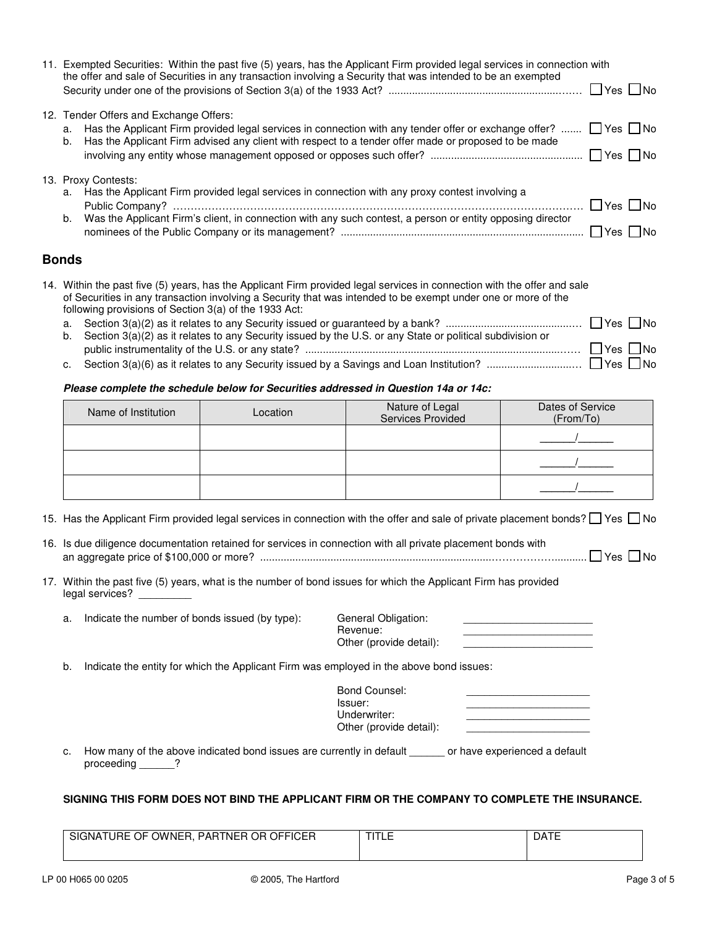|                    | 11. Exempted Securities: Within the past five (5) years, has the Applicant Firm provided legal services in connection with<br>the offer and sale of Securities in any transaction involving a Security that was intended to be an exempted |                      |
|--------------------|--------------------------------------------------------------------------------------------------------------------------------------------------------------------------------------------------------------------------------------------|----------------------|
|                    | 12. Tender Offers and Exchange Offers:                                                                                                                                                                                                     |                      |
| a.<br>b.           | Has the Applicant Firm provided legal services in connection with any tender offer or exchange offer? $\Box$ Yes $\Box$ No<br>Has the Applicant Firm advised any client with respect to a tender offer made or proposed to be made         |                      |
|                    |                                                                                                                                                                                                                                            |                      |
|                    | 13. Proxy Contests:                                                                                                                                                                                                                        |                      |
| а.                 | Has the Applicant Firm provided legal services in connection with any proxy contest involving a                                                                                                                                            | $\Box$ Yes $\Box$ No |
| b.                 | Was the Applicant Firm's client, in connection with any such contest, a person or entity opposing director                                                                                                                                 | $\Box$ Yes $\Box$ No |
| <b>D</b> - - - - - |                                                                                                                                                                                                                                            |                      |

### **Bonds**

|  | 14. Within the past five (5) years, has the Applicant Firm provided legal services in connection with the offer and sale |  |
|--|--------------------------------------------------------------------------------------------------------------------------|--|
|  | of Securities in any transaction involving a Security that was intended to be exempt under one or more of the            |  |
|  | following provisions of Section 3(a) of the 1933 Act:                                                                    |  |
|  |                                                                                                                          |  |
|  | b. Section 3(a)(2) as it relates to any Security issued by the U.S. or any State or political subdivision or             |  |
|  |                                                                                                                          |  |
|  |                                                                                                                          |  |

# *Please complete the schedule below for Securities addressed in Question 14a or 14c:*

| Name of Institution | Location | Nature of Legal<br>Services Provided | Dates of Service<br>(From/To) |
|---------------------|----------|--------------------------------------|-------------------------------|
|                     |          |                                      |                               |
|                     |          |                                      |                               |
|                     |          |                                      |                               |

15. Has the Applicant Firm provided legal services in connection with the offer and sale of private placement bonds?  $\Box$  Yes  $\Box$  No

| 16. Is due diligence documentation retained for services in connection with all private placement bonds with |
|--------------------------------------------------------------------------------------------------------------|
| an aggregate price of \$100,000 or more? …………………………………………………………………………………………… □ Yes □ No                      |

17. Within the past five (5) years, what is the number of bond issues for which the Applicant Firm has provided legal services? \_\_\_\_\_\_\_\_\_

| Indicate the number of bonds issued (by type): | General Obligation:<br>Revenue: |  |
|------------------------------------------------|---------------------------------|--|
|                                                | Other (provide detail):         |  |

b. Indicate the entity for which the Applicant Firm was employed in the above bond issues:

| Bond Counsel:<br>Issuer:                |  |
|-----------------------------------------|--|
| Underwriter:<br>Other (provide detail): |  |

c. How many of the above indicated bond issues are currently in default \_\_\_\_\_\_ or have experienced a default proceeding \_\_\_\_\_\_?

#### **SIGNING THIS FORM DOES NOT BIND THE APPLICANT FIRM OR THE COMPANY TO COMPLETE THE INSURANCE.**

| OFFICER<br>SIGNATURE C<br>OWNER<br><b>PARTNER OR O</b><br>OF. | -- | Aר |
|---------------------------------------------------------------|----|----|
|                                                               |    |    |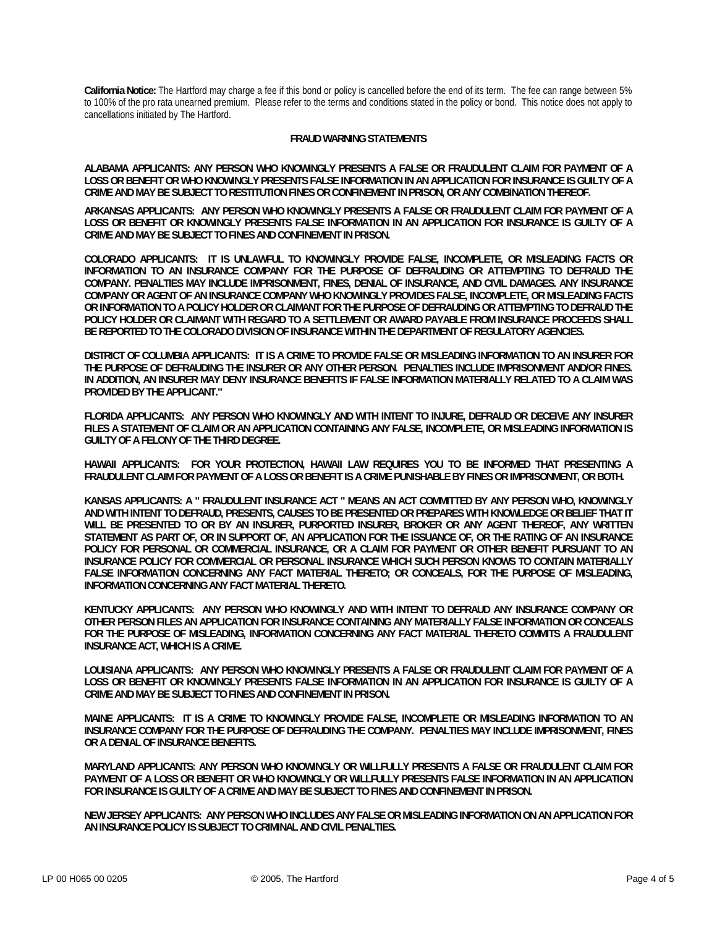**California Notice:** The Hartford may charge a fee if this bond or policy is cancelled before the end of its term. The fee can range between 5% to 100% of the pro rata unearned premium. Please refer to the terms and conditions stated in the policy or bond. This notice does not apply to cancellations initiated by The Hartford.

#### **FRAUD WARNING STATEMENTS**

**ALABAMA APPLICANTS: ANY PERSON WHO KNOWINGLY PRESENTS A FALSE OR FRAUDULENT CLAIM FOR PAYMENT OF A LOSS OR BENEFIT OR WHO KNOWINGLY PRESENTS FALSE INFORMATION IN AN APPLICATION FOR INSURANCE IS GUILTY OF A CRIME AND MAY BE SUBJECT TO RESTITUTION FINES OR CONFINEMENT IN PRISON, OR ANY COMBINATION THEREOF.**

**ARKANSAS APPLICANTS: ANY PERSON WHO KNOWINGLY PRESENTS A FALSE OR FRAUDULENT CLAIM FOR PAYMENT OF A LOSS OR BENEFIT OR KNOWINGLY PRESENTS FALSE INFORMATION IN AN APPLICATION FOR INSURANCE IS GUILTY OF A CRIME AND MAY BE SUBJECT TO FINES AND CONFINEMENT IN PRISON.** 

**COLORADO APPLICANTS: IT IS UNLAWFUL TO KNOWINGLY PROVIDE FALSE, INCOMPLETE, OR MISLEADING FACTS OR INFORMATION TO AN INSURANCE COMPANY FOR THE PURPOSE OF DEFRAUDING OR ATTEMPTING TO DEFRAUD THE COMPANY. PENALTIES MAY INCLUDE IMPRISONMENT, FINES, DENIAL OF INSURANCE, AND CIVIL DAMAGES. ANY INSURANCE COMPANY OR AGENT OF AN INSURANCE COMPANY WHO KNOWINGLY PROVIDES FALSE, INCOMPLETE, OR MISLEADING FACTS OR INFORMATION TO A POLICY HOLDER OR CLAIMANT FOR THE PURPOSE OF DEFRAUDING OR ATTEMPTING TO DEFRAUD THE POLICY HOLDER OR CLAIMANT WITH REGARD TO A SETTLEMENT OR AWARD PAYABLE FROM INSURANCE PROCEEDS SHALL BE REPORTED TO THE COLORADO DIVISION OF INSURANCE WITHIN THE DEPARTMENT OF REGULATORY AGENCIES.** 

**DISTRICT OF COLUMBIA APPLICANTS: IT IS A CRIME TO PROVIDE FALSE OR MISLEADING INFORMATION TO AN INSURER FOR THE PURPOSE OF DEFRAUDING THE INSURER OR ANY OTHER PERSON. PENALTIES INCLUDE IMPRISONMENT AND/OR FINES. IN ADDITION, AN INSURER MAY DENY INSURANCE BENEFITS IF FALSE INFORMATION MATERIALLY RELATED TO A CLAIM WAS PROVIDED BY THE APPLICANT."** 

**FLORIDA APPLICANTS: ANY PERSON WHO KNOWINGLY AND WITH INTENT TO INJURE, DEFRAUD OR DECEIVE ANY INSURER FILES A STATEMENT OF CLAIM OR AN APPLICATION CONTAINING ANY FALSE, INCOMPLETE, OR MISLEADING INFORMATION IS GUILTY OF A FELONY OF THE THIRD DEGREE.** 

**HAWAII APPLICANTS: FOR YOUR PROTECTION, HAWAII LAW REQUIRES YOU TO BE INFORMED THAT PRESENTING A FRAUDULENT CLAIM FOR PAYMENT OF A LOSS OR BENEFIT IS A CRIME PUNISHABLE BY FINES OR IMPRISONMENT, OR BOTH.** 

**KANSAS APPLICANTS: A " FRAUDULENT INSURANCE ACT " MEANS AN ACT COMMITTED BY ANY PERSON WHO, KNOWINGLY AND WITH INTENT TO DEFRAUD, PRESENTS, CAUSES TO BE PRESENTED OR PREPARES WITH KNOWLEDGE OR BELIEF THAT IT WILL BE PRESENTED TO OR BY AN INSURER, PURPORTED INSURER, BROKER OR ANY AGENT THEREOF, ANY WRITTEN STATEMENT AS PART OF, OR IN SUPPORT OF, AN APPLICATION FOR THE ISSUANCE OF, OR THE RATING OF AN INSURANCE POLICY FOR PERSONAL OR COMMERCIAL INSURANCE, OR A CLAIM FOR PAYMENT OR OTHER BENEFIT PURSUANT TO AN INSURANCE POLICY FOR COMMERCIAL OR PERSONAL INSURANCE WHICH SUCH PERSON KNOWS TO CONTAIN MATERIALLY**  FALSE INFORMATION CONCERNING ANY FACT MATERIAL THERETO; OR CONCEALS, FOR THE PURPOSE OF MISLEADING, **INFORMATION CONCERNING ANY FACT MATERIAL THERETO.** 

**KENTUCKY APPLICANTS: ANY PERSON WHO KNOWINGLY AND WITH INTENT TO DEFRAUD ANY INSURANCE COMPANY OR OTHER PERSON FILES AN APPLICATION FOR INSURANCE CONTAINING ANY MATERIALLY FALSE INFORMATION OR CONCEALS FOR THE PURPOSE OF MISLEADING, INFORMATION CONCERNING ANY FACT MATERIAL THERETO COMMITS A FRAUDULENT INSURANCE ACT, WHICH IS A CRIME.** 

**LOUISIANA APPLICANTS: ANY PERSON WHO KNOWINGLY PRESENTS A FALSE OR FRAUDULENT CLAIM FOR PAYMENT OF A LOSS OR BENEFIT OR KNOWINGLY PRESENTS FALSE INFORMATION IN AN APPLICATION FOR INSURANCE IS GUILTY OF A CRIME AND MAY BE SUBJECT TO FINES AND CONFINEMENT IN PRISON.** 

**MAINE APPLICANTS: IT IS A CRIME TO KNOWINGLY PROVIDE FALSE, INCOMPLETE OR MISLEADING INFORMATION TO AN INSURANCE COMPANY FOR THE PURPOSE OF DEFRAUDING THE COMPANY. PENALTIES MAY INCLUDE IMPRISONMENT, FINES OR A DENIAL OF INSURANCE BENEFITS.** 

**MARYLAND APPLICANTS: ANY PERSON WHO KNOWINGLY OR WILLFULLY PRESENTS A FALSE OR FRAUDULENT CLAIM FOR PAYMENT OF A LOSS OR BENEFIT OR WHO KNOWINGLY OR WILLFULLY PRESENTS FALSE INFORMATION IN AN APPLICATION FOR INSURANCE IS GUILTY OF A CRIME AND MAY BE SUBJECT TO FINES AND CONFINEMENT IN PRISON.** 

**NEW JERSEY APPLICANTS: ANY PERSON WHO INCLUDES ANY FALSE OR MISLEADING INFORMATION ON AN APPLICATION FOR AN INSURANCE POLICY IS SUBJECT TO CRIMINAL AND CIVIL PENALTIES.**